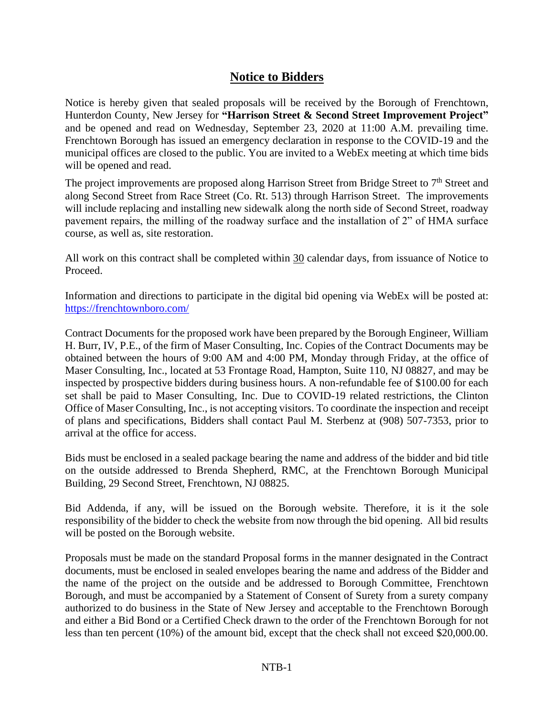## **Notice to Bidders**

Notice is hereby given that sealed proposals will be received by the Borough of Frenchtown, Hunterdon County, New Jersey for **"Harrison Street & Second Street Improvement Project"**  and be opened and read on Wednesday, September 23, 2020 at 11:00 A.M. prevailing time. Frenchtown Borough has issued an emergency declaration in response to the COVID-19 and the municipal offices are closed to the public. You are invited to a WebEx meeting at which time bids will be opened and read.

The project improvements are proposed along Harrison Street from Bridge Street to 7<sup>th</sup> Street and along Second Street from Race Street (Co. Rt. 513) through Harrison Street. The improvements will include replacing and installing new sidewalk along the north side of Second Street, roadway pavement repairs, the milling of the roadway surface and the installation of 2" of HMA surface course, as well as, site restoration.

All work on this contract shall be completed within 30 calendar days, from issuance of Notice to Proceed.

Information and directions to participate in the digital bid opening via WebEx will be posted at: <https://frenchtownboro.com/>

Contract Documents for the proposed work have been prepared by the Borough Engineer, William H. Burr, IV, P.E., of the firm of Maser Consulting, Inc. Copies of the Contract Documents may be obtained between the hours of 9:00 AM and 4:00 PM, Monday through Friday, at the office of Maser Consulting, Inc., located at 53 Frontage Road, Hampton, Suite 110, NJ 08827, and may be inspected by prospective bidders during business hours. A non-refundable fee of \$100.00 for each set shall be paid to Maser Consulting, Inc. Due to COVID-19 related restrictions, the Clinton Office of Maser Consulting, Inc., is not accepting visitors. To coordinate the inspection and receipt of plans and specifications, Bidders shall contact Paul M. Sterbenz at (908) 507-7353, prior to arrival at the office for access.

Bids must be enclosed in a sealed package bearing the name and address of the bidder and bid title on the outside addressed to Brenda Shepherd, RMC, at the Frenchtown Borough Municipal Building, 29 Second Street, Frenchtown, NJ 08825.

Bid Addenda, if any, will be issued on the Borough website. Therefore, it is it the sole responsibility of the bidder to check the website from now through the bid opening. All bid results will be posted on the Borough website.

Proposals must be made on the standard Proposal forms in the manner designated in the Contract documents, must be enclosed in sealed envelopes bearing the name and address of the Bidder and the name of the project on the outside and be addressed to Borough Committee, Frenchtown Borough, and must be accompanied by a Statement of Consent of Surety from a surety company authorized to do business in the State of New Jersey and acceptable to the Frenchtown Borough and either a Bid Bond or a Certified Check drawn to the order of the Frenchtown Borough for not less than ten percent (10%) of the amount bid, except that the check shall not exceed \$20,000.00.